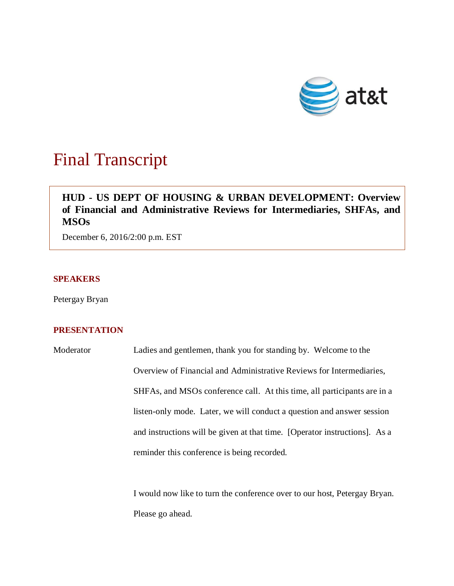

# Final Transcript

# **HUD - US DEPT OF HOUSING & URBAN DEVELOPMENT: Overview of Financial and Administrative Reviews for Intermediaries, SHFAs, and MSOs**

December 6, 2016/2:00 p.m. EST

## **SPEAKERS**

Petergay Bryan

# **PRESENTATION**

Moderator Ladies and gentlemen, thank you for standing by. Welcome to the Overview of Financial and Administrative Reviews for Intermediaries, SHFAs, and MSOs conference call. At this time, all participants are in a listen-only mode. Later, we will conduct a question and answer session and instructions will be given at that time. [Operator instructions]. As a reminder this conference is being recorded.

> I would now like to turn the conference over to our host, Petergay Bryan. Please go ahead.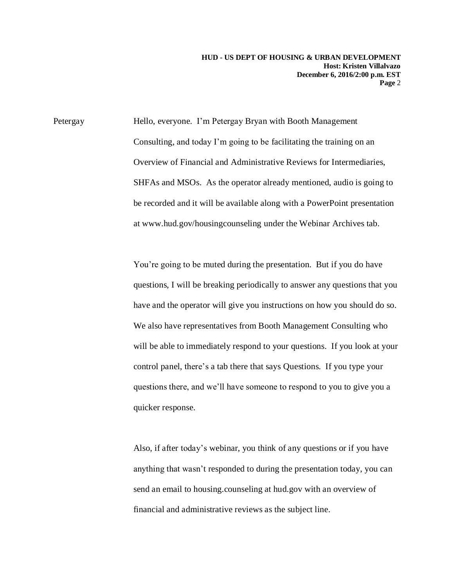Petergay Hello, everyone. I'm Petergay Bryan with Booth Management Consulting, and today I'm going to be facilitating the training on an Overview of Financial and Administrative Reviews for Intermediaries, SHFAs and MSOs. As the operator already mentioned, audio is going to be recorded and it will be available along with a PowerPoint presentation at [www.hud.gov/housingcounseling](http://www.hud.gov/housingcounseling) under the Webinar Archives tab.

> You're going to be muted during the presentation. But if you do have questions, I will be breaking periodically to answer any questions that you have and the operator will give you instructions on how you should do so. We also have representatives from Booth Management Consulting who will be able to immediately respond to your questions. If you look at your control panel, there's a tab there that says Questions. If you type your questions there, and we'll have someone to respond to you to give you a quicker response.

Also, if after today's webinar, you think of any questions or if you have anything that wasn't responded to during the presentation today, you can send an email to housing.counseling at hud.gov with an overview of financial and administrative reviews as the subject line.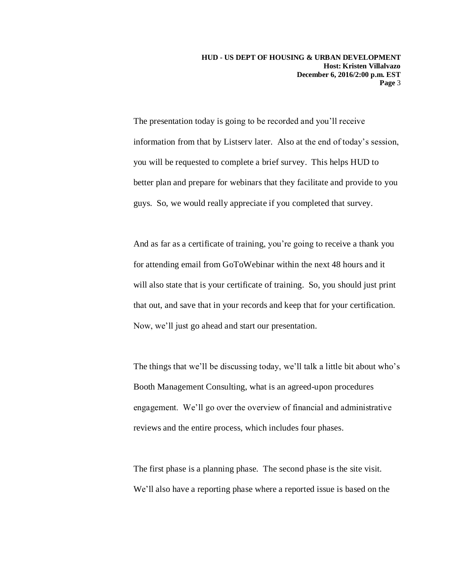The presentation today is going to be recorded and you'll receive information from that by Listserv later. Also at the end of today's session, you will be requested to complete a brief survey. This helps HUD to better plan and prepare for webinars that they facilitate and provide to you guys. So, we would really appreciate if you completed that survey.

And as far as a certificate of training, you're going to receive a thank you for attending email from GoToWebinar within the next 48 hours and it will also state that is your certificate of training. So, you should just print that out, and save that in your records and keep that for your certification. Now, we'll just go ahead and start our presentation.

The things that we'll be discussing today, we'll talk a little bit about who's Booth Management Consulting, what is an agreed-upon procedures engagement. We'll go over the overview of financial and administrative reviews and the entire process, which includes four phases.

The first phase is a planning phase. The second phase is the site visit. We'll also have a reporting phase where a reported issue is based on the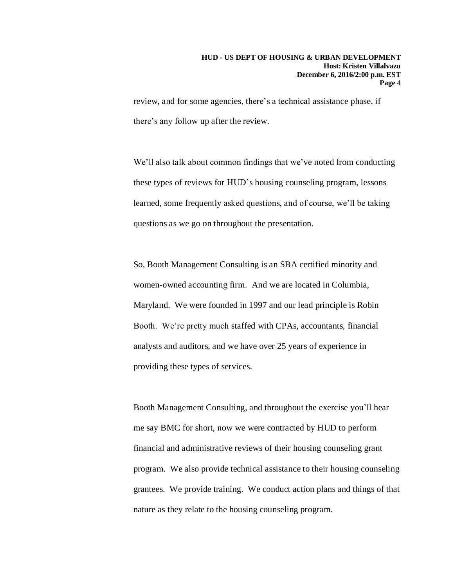review, and for some agencies, there's a technical assistance phase, if there's any follow up after the review.

We'll also talk about common findings that we've noted from conducting these types of reviews for HUD's housing counseling program, lessons learned, some frequently asked questions, and of course, we'll be taking questions as we go on throughout the presentation.

So, Booth Management Consulting is an SBA certified minority and women-owned accounting firm. And we are located in Columbia, Maryland. We were founded in 1997 and our lead principle is Robin Booth. We're pretty much staffed with CPAs, accountants, financial analysts and auditors, and we have over 25 years of experience in providing these types of services.

Booth Management Consulting, and throughout the exercise you'll hear me say BMC for short, now we were contracted by HUD to perform financial and administrative reviews of their housing counseling grant program. We also provide technical assistance to their housing counseling grantees. We provide training. We conduct action plans and things of that nature as they relate to the housing counseling program.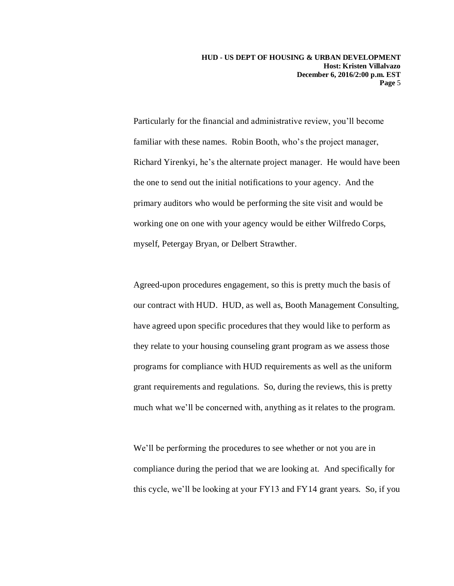Particularly for the financial and administrative review, you'll become familiar with these names. Robin Booth, who's the project manager, Richard Yirenkyi, he's the alternate project manager. He would have been the one to send out the initial notifications to your agency. And the primary auditors who would be performing the site visit and would be working one on one with your agency would be either Wilfredo Corps, myself, Petergay Bryan, or Delbert Strawther.

Agreed-upon procedures engagement, so this is pretty much the basis of our contract with HUD. HUD, as well as, Booth Management Consulting, have agreed upon specific procedures that they would like to perform as they relate to your housing counseling grant program as we assess those programs for compliance with HUD requirements as well as the uniform grant requirements and regulations. So, during the reviews, this is pretty much what we'll be concerned with, anything as it relates to the program.

We'll be performing the procedures to see whether or not you are in compliance during the period that we are looking at. And specifically for this cycle, we'll be looking at your FY13 and FY14 grant years. So, if you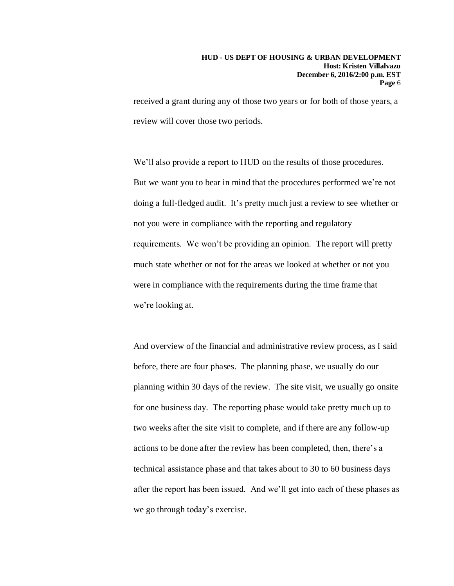received a grant during any of those two years or for both of those years, a review will cover those two periods.

We'll also provide a report to HUD on the results of those procedures. But we want you to bear in mind that the procedures performed we're not doing a full-fledged audit. It's pretty much just a review to see whether or not you were in compliance with the reporting and regulatory requirements. We won't be providing an opinion. The report will pretty much state whether or not for the areas we looked at whether or not you were in compliance with the requirements during the time frame that we're looking at.

And overview of the financial and administrative review process, as I said before, there are four phases. The planning phase, we usually do our planning within 30 days of the review. The site visit, we usually go onsite for one business day. The reporting phase would take pretty much up to two weeks after the site visit to complete, and if there are any follow-up actions to be done after the review has been completed, then, there's a technical assistance phase and that takes about to 30 to 60 business days after the report has been issued. And we'll get into each of these phases as we go through today's exercise.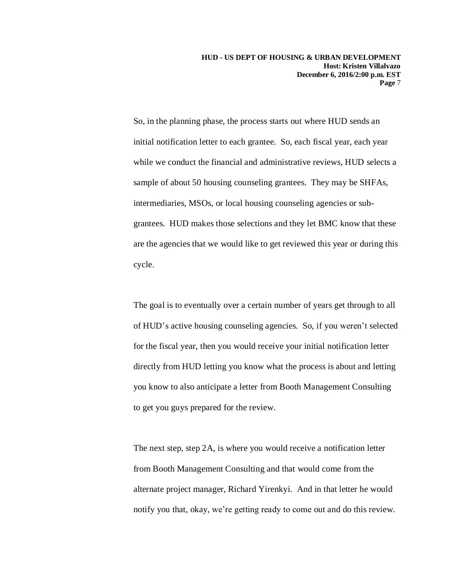So, in the planning phase, the process starts out where HUD sends an initial notification letter to each grantee. So, each fiscal year, each year while we conduct the financial and administrative reviews, HUD selects a sample of about 50 housing counseling grantees. They may be SHFAs, intermediaries, MSOs, or local housing counseling agencies or subgrantees. HUD makes those selections and they let BMC know that these are the agencies that we would like to get reviewed this year or during this cycle.

The goal is to eventually over a certain number of years get through to all of HUD's active housing counseling agencies. So, if you weren't selected for the fiscal year, then you would receive your initial notification letter directly from HUD letting you know what the process is about and letting you know to also anticipate a letter from Booth Management Consulting to get you guys prepared for the review.

The next step, step 2A, is where you would receive a notification letter from Booth Management Consulting and that would come from the alternate project manager, Richard Yirenkyi. And in that letter he would notify you that, okay, we're getting ready to come out and do this review.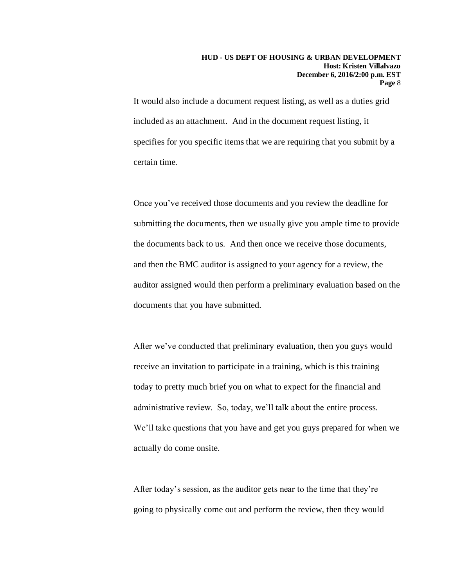It would also include a document request listing, as well as a duties grid included as an attachment. And in the document request listing, it specifies for you specific items that we are requiring that you submit by a certain time.

Once you've received those documents and you review the deadline for submitting the documents, then we usually give you ample time to provide the documents back to us. And then once we receive those documents, and then the BMC auditor is assigned to your agency for a review, the auditor assigned would then perform a preliminary evaluation based on the documents that you have submitted.

After we've conducted that preliminary evaluation, then you guys would receive an invitation to participate in a training, which is this training today to pretty much brief you on what to expect for the financial and administrative review. So, today, we'll talk about the entire process. We'll take questions that you have and get you guys prepared for when we actually do come onsite.

After today's session, as the auditor gets near to the time that they're going to physically come out and perform the review, then they would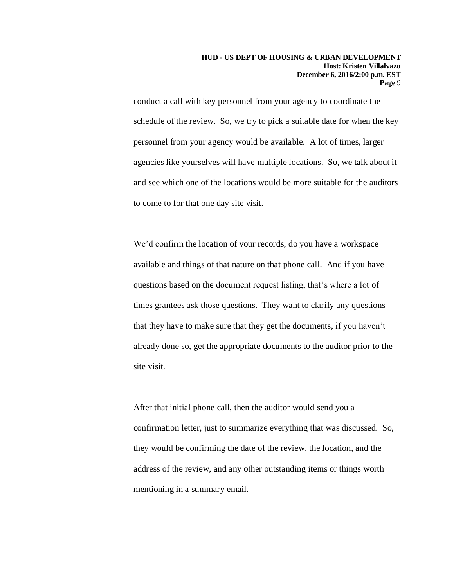conduct a call with key personnel from your agency to coordinate the schedule of the review. So, we try to pick a suitable date for when the key personnel from your agency would be available. A lot of times, larger agencies like yourselves will have multiple locations. So, we talk about it and see which one of the locations would be more suitable for the auditors to come to for that one day site visit.

We'd confirm the location of your records, do you have a workspace available and things of that nature on that phone call. And if you have questions based on the document request listing, that's where a lot of times grantees ask those questions. They want to clarify any questions that they have to make sure that they get the documents, if you haven't already done so, get the appropriate documents to the auditor prior to the site visit.

After that initial phone call, then the auditor would send you a confirmation letter, just to summarize everything that was discussed. So, they would be confirming the date of the review, the location, and the address of the review, and any other outstanding items or things worth mentioning in a summary email.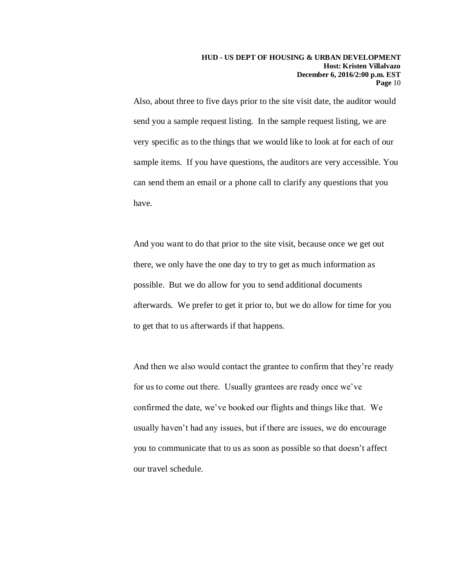Also, about three to five days prior to the site visit date, the auditor would send you a sample request listing. In the sample request listing, we are very specific as to the things that we would like to look at for each of our sample items. If you have questions, the auditors are very accessible. You can send them an email or a phone call to clarify any questions that you have.

And you want to do that prior to the site visit, because once we get out there, we only have the one day to try to get as much information as possible. But we do allow for you to send additional documents afterwards. We prefer to get it prior to, but we do allow for time for you to get that to us afterwards if that happens.

And then we also would contact the grantee to confirm that they're ready for us to come out there. Usually grantees are ready once we've confirmed the date, we've booked our flights and things like that. We usually haven't had any issues, but if there are issues, we do encourage you to communicate that to us as soon as possible so that doesn't affect our travel schedule.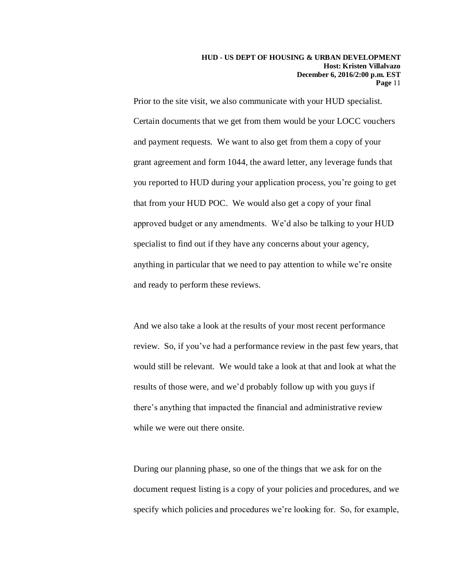Prior to the site visit, we also communicate with your HUD specialist. Certain documents that we get from them would be your LOCC vouchers and payment requests. We want to also get from them a copy of your grant agreement and form 1044, the award letter, any leverage funds that you reported to HUD during your application process, you're going to get that from your HUD POC. We would also get a copy of your final approved budget or any amendments. We'd also be talking to your HUD specialist to find out if they have any concerns about your agency, anything in particular that we need to pay attention to while we're onsite and ready to perform these reviews.

And we also take a look at the results of your most recent performance review. So, if you've had a performance review in the past few years, that would still be relevant. We would take a look at that and look at what the results of those were, and we'd probably follow up with you guys if there's anything that impacted the financial and administrative review while we were out there onsite.

During our planning phase, so one of the things that we ask for on the document request listing is a copy of your policies and procedures, and we specify which policies and procedures we're looking for. So, for example,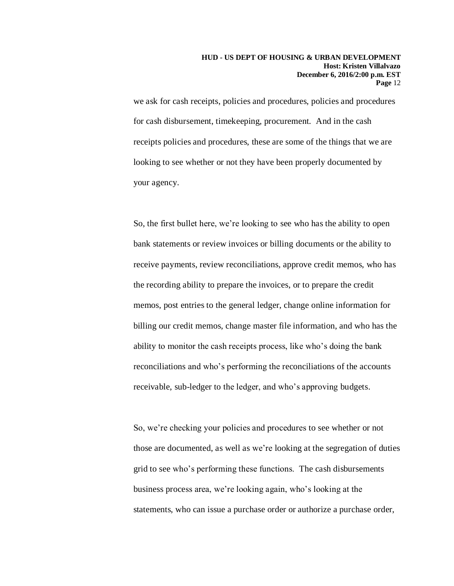we ask for cash receipts, policies and procedures, policies and procedures for cash disbursement, timekeeping, procurement. And in the cash receipts policies and procedures, these are some of the things that we are looking to see whether or not they have been properly documented by your agency.

So, the first bullet here, we're looking to see who has the ability to open bank statements or review invoices or billing documents or the ability to receive payments, review reconciliations, approve credit memos, who has the recording ability to prepare the invoices, or to prepare the credit memos, post entries to the general ledger, change online information for billing our credit memos, change master file information, and who has the ability to monitor the cash receipts process, like who's doing the bank reconciliations and who's performing the reconciliations of the accounts receivable, sub-ledger to the ledger, and who's approving budgets.

So, we're checking your policies and procedures to see whether or not those are documented, as well as we're looking at the segregation of duties grid to see who's performing these functions. The cash disbursements business process area, we're looking again, who's looking at the statements, who can issue a purchase order or authorize a purchase order,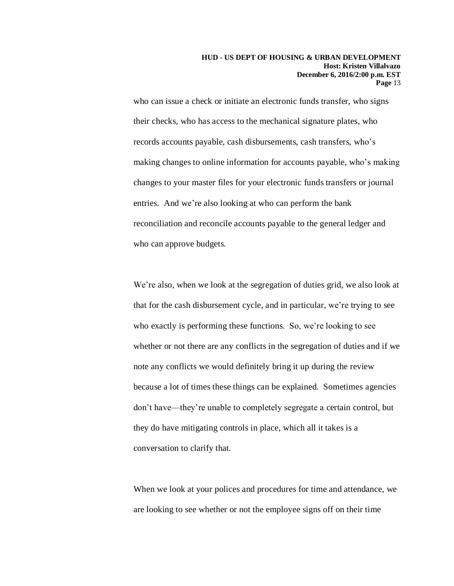who can issue a check or initiate an electronic funds transfer, who signs their checks, who has access to the mechanical signature plates, who records accounts payable, cash disbursements, cash transfers, who's making changes to online information for accounts payable, who's making changes to your master files for your electronic funds transfers or journal entries. And we're also looking at who can perform the bank reconciliation and reconcile accounts payable to the general ledger and who can approve budgets.

We're also, when we look at the segregation of duties grid, we also look at that for the cash disbursement cycle, and in particular, we're trying to see who exactly is performing these functions. So, we're looking to see whether or not there are any conflicts in the segregation of duties and if we note any conflicts we would definitely bring it up during the review because a lot of times these things can be explained. Sometimes agencies don't have—they're unable to completely segregate a certain control, but they do have mitigating controls in place, which all it takes is a conversation to clarify that.

When we look at your polices and procedures for time and attendance, we are looking to see whether or not the employee signs off on their time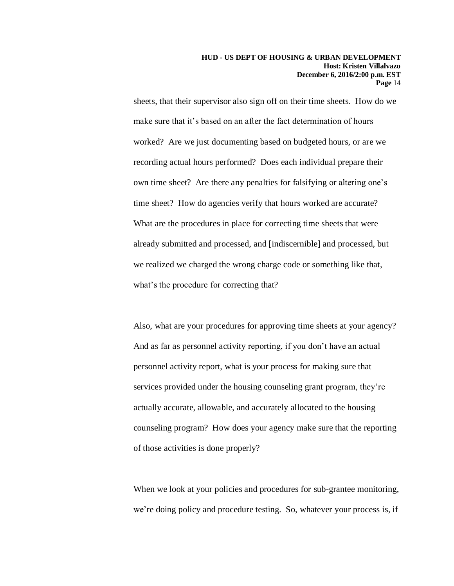sheets, that their supervisor also sign off on their time sheets. How do we make sure that it's based on an after the fact determination of hours worked? Are we just documenting based on budgeted hours, or are we recording actual hours performed? Does each individual prepare their own time sheet? Are there any penalties for falsifying or altering one's time sheet? How do agencies verify that hours worked are accurate? What are the procedures in place for correcting time sheets that were already submitted and processed, and [indiscernible] and processed, but we realized we charged the wrong charge code or something like that, what's the procedure for correcting that?

Also, what are your procedures for approving time sheets at your agency? And as far as personnel activity reporting, if you don't have an actual personnel activity report, what is your process for making sure that services provided under the housing counseling grant program, they're actually accurate, allowable, and accurately allocated to the housing counseling program? How does your agency make sure that the reporting of those activities is done properly?

When we look at your policies and procedures for sub-grantee monitoring, we're doing policy and procedure testing. So, whatever your process is, if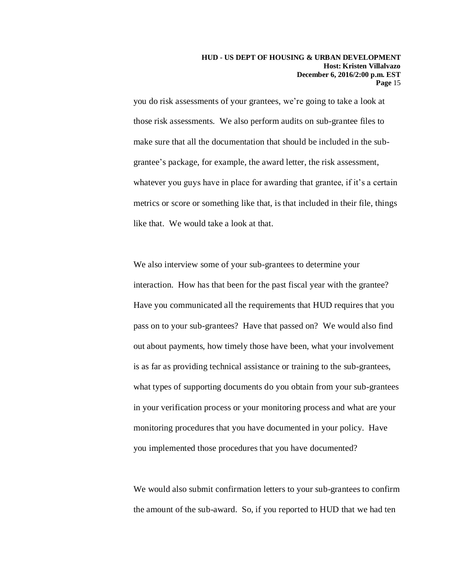you do risk assessments of your grantees, we're going to take a look at those risk assessments. We also perform audits on sub-grantee files to make sure that all the documentation that should be included in the subgrantee's package, for example, the award letter, the risk assessment, whatever you guys have in place for awarding that grantee, if it's a certain metrics or score or something like that, is that included in their file, things like that. We would take a look at that.

We also interview some of your sub-grantees to determine your interaction. How has that been for the past fiscal year with the grantee? Have you communicated all the requirements that HUD requires that you pass on to your sub-grantees? Have that passed on? We would also find out about payments, how timely those have been, what your involvement is as far as providing technical assistance or training to the sub-grantees, what types of supporting documents do you obtain from your sub-grantees in your verification process or your monitoring process and what are your monitoring procedures that you have documented in your policy. Have you implemented those procedures that you have documented?

We would also submit confirmation letters to your sub-grantees to confirm the amount of the sub-award. So, if you reported to HUD that we had ten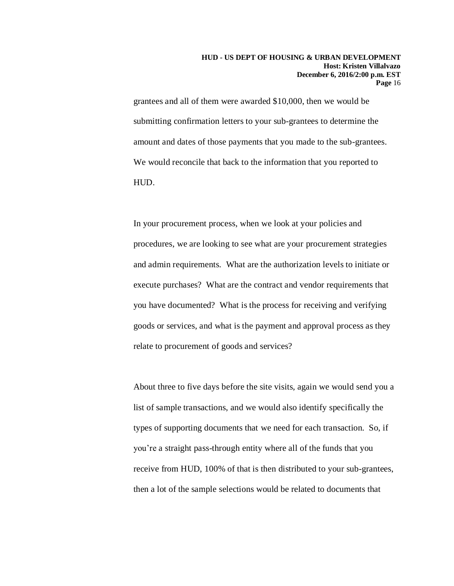grantees and all of them were awarded \$10,000, then we would be submitting confirmation letters to your sub-grantees to determine the amount and dates of those payments that you made to the sub-grantees. We would reconcile that back to the information that you reported to HUD.

In your procurement process, when we look at your policies and procedures, we are looking to see what are your procurement strategies and admin requirements. What are the authorization levels to initiate or execute purchases? What are the contract and vendor requirements that you have documented? What is the process for receiving and verifying goods or services, and what is the payment and approval process as they relate to procurement of goods and services?

About three to five days before the site visits, again we would send you a list of sample transactions, and we would also identify specifically the types of supporting documents that we need for each transaction. So, if you're a straight pass-through entity where all of the funds that you receive from HUD, 100% of that is then distributed to your sub-grantees, then a lot of the sample selections would be related to documents that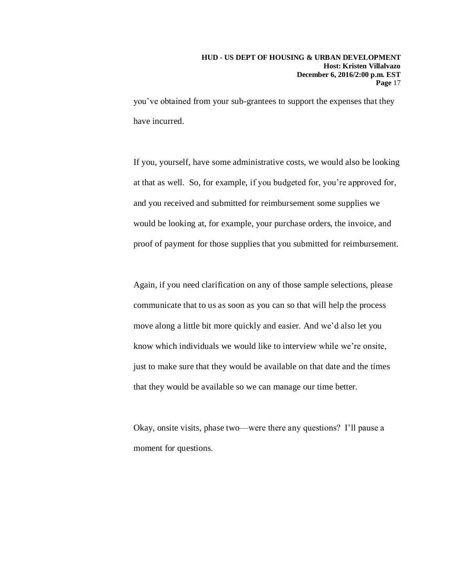you've obtained from your sub-grantees to support the expenses that they have incurred.

If you, yourself, have some administrative costs, we would also be looking at that as well. So, for example, if you budgeted for, you're approved for, and you received and submitted for reimbursement some supplies we would be looking at, for example, your purchase orders, the invoice, and proof of payment for those supplies that you submitted for reimbursement.

Again, if you need clarification on any of those sample selections, please communicate that to us as soon as you can so that will help the process move along a little bit more quickly and easier. And we'd also let you know which individuals we would like to interview while we're onsite, just to make sure that they would be available on that date and the times that they would be available so we can manage our time better.

Okay, onsite visits, phase two—were there any questions? I'll pause a moment for questions.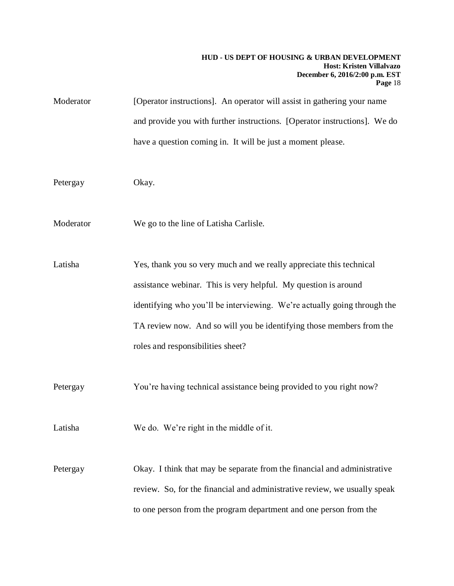| Moderator | [Operator instructions]. An operator will assist in gathering your name   |
|-----------|---------------------------------------------------------------------------|
|           | and provide you with further instructions. [Operator instructions]. We do |
|           | have a question coming in. It will be just a moment please.               |
|           |                                                                           |
| Petergay  | Okay.                                                                     |
|           |                                                                           |
| Moderator | We go to the line of Latisha Carlisle.                                    |
|           |                                                                           |
| Latisha   | Yes, thank you so very much and we really appreciate this technical       |
|           | assistance webinar. This is very helpful. My question is around           |
|           | identifying who you'll be interviewing. We're actually going through the  |
|           | TA review now. And so will you be identifying those members from the      |
|           | roles and responsibilities sheet?                                         |
|           |                                                                           |
| Petergay  | You're having technical assistance being provided to you right now?       |
|           |                                                                           |
| Latisha   | We do. We're right in the middle of it.                                   |
|           |                                                                           |
| Petergay  | Okay. I think that may be separate from the financial and administrative  |
|           | review. So, for the financial and administrative review, we usually speak |
|           | to one person from the program department and one person from the         |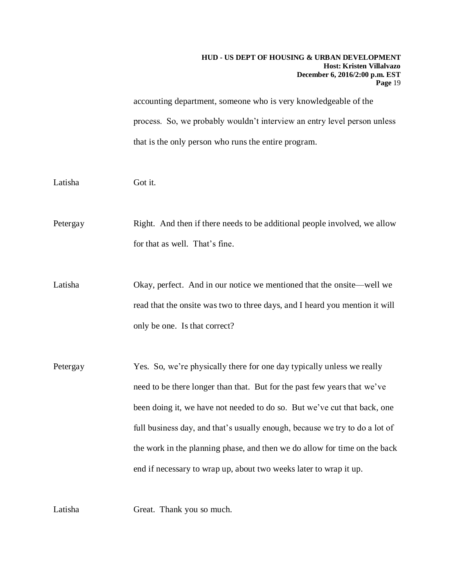#### **HUD - US DEPT OF HOUSING & URBAN DEVELOPMENT Host: Kristen Villalvazo December 6, 2016/2:00 p.m. EST Page** 19

accounting department, someone who is very knowledgeable of the process. So, we probably wouldn't interview an entry level person unless that is the only person who runs the entire program.

Latisha Got it.

Petergay Right. And then if there needs to be additional people involved, we allow for that as well. That's fine.

Latisha Okay, perfect. And in our notice we mentioned that the onsite—well we read that the onsite was two to three days, and I heard you mention it will only be one. Is that correct?

Petergay Yes. So, we're physically there for one day typically unless we really need to be there longer than that. But for the past few years that we've been doing it, we have not needed to do so. But we've cut that back, one full business day, and that's usually enough, because we try to do a lot of the work in the planning phase, and then we do allow for time on the back end if necessary to wrap up, about two weeks later to wrap it up.

Latisha Great. Thank you so much.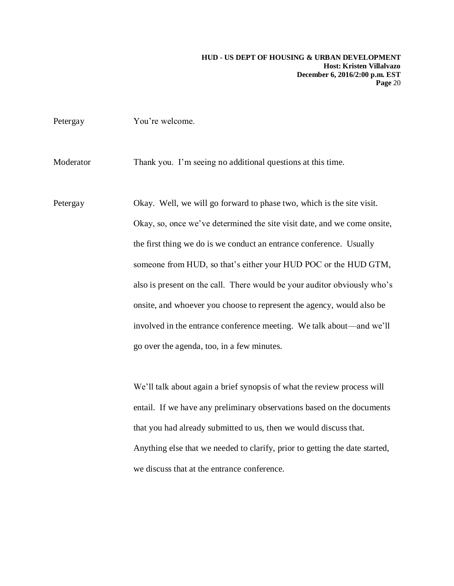| Petergay  | You're welcome.                                                             |
|-----------|-----------------------------------------------------------------------------|
| Moderator | Thank you. I'm seeing no additional questions at this time.                 |
| Petergay  | Okay. Well, we will go forward to phase two, which is the site visit.       |
|           | Okay, so, once we've determined the site visit date, and we come onsite,    |
|           | the first thing we do is we conduct an entrance conference. Usually         |
|           | someone from HUD, so that's either your HUD POC or the HUD GTM,             |
|           | also is present on the call. There would be your auditor obviously who's    |
|           | onsite, and whoever you choose to represent the agency, would also be       |
|           | involved in the entrance conference meeting. We talk about—and we'll        |
|           | go over the agenda, too, in a few minutes.                                  |
|           |                                                                             |
|           | We'll talk about again a brief synopsis of what the review process will     |
|           | entail. If we have any preliminary observations based on the documents      |
|           | that you had already submitted to us, then we would discuss that.           |
|           | Anything else that we needed to clarify, prior to getting the date started, |
|           | we discuss that at the entrance conference.                                 |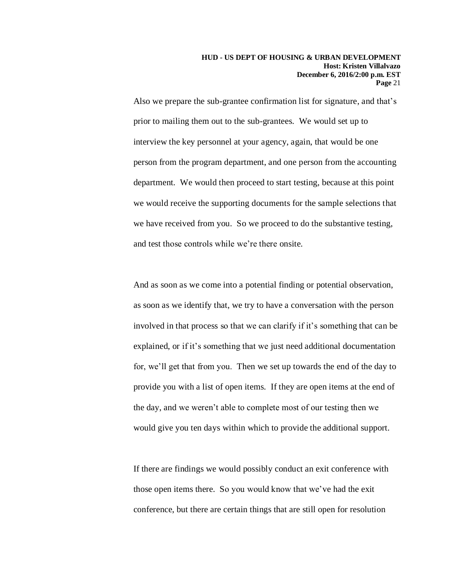Also we prepare the sub-grantee confirmation list for signature, and that's prior to mailing them out to the sub-grantees. We would set up to interview the key personnel at your agency, again, that would be one person from the program department, and one person from the accounting department. We would then proceed to start testing, because at this point we would receive the supporting documents for the sample selections that we have received from you. So we proceed to do the substantive testing, and test those controls while we're there onsite.

And as soon as we come into a potential finding or potential observation, as soon as we identify that, we try to have a conversation with the person involved in that process so that we can clarify if it's something that can be explained, or if it's something that we just need additional documentation for, we'll get that from you. Then we set up towards the end of the day to provide you with a list of open items. If they are open items at the end of the day, and we weren't able to complete most of our testing then we would give you ten days within which to provide the additional support.

If there are findings we would possibly conduct an exit conference with those open items there. So you would know that we've had the exit conference, but there are certain things that are still open for resolution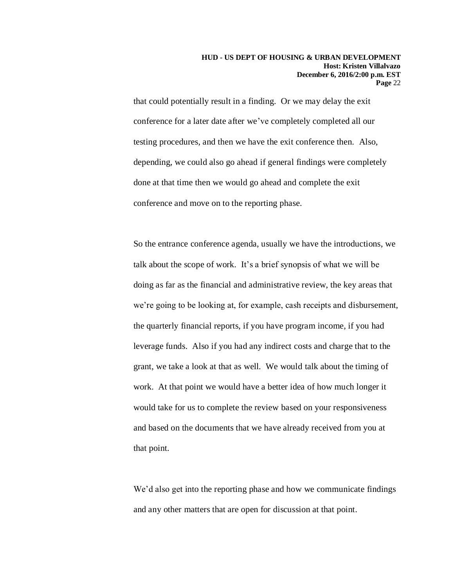that could potentially result in a finding. Or we may delay the exit conference for a later date after we've completely completed all our testing procedures, and then we have the exit conference then. Also, depending, we could also go ahead if general findings were completely done at that time then we would go ahead and complete the exit conference and move on to the reporting phase.

So the entrance conference agenda, usually we have the introductions, we talk about the scope of work. It's a brief synopsis of what we will be doing as far as the financial and administrative review, the key areas that we're going to be looking at, for example, cash receipts and disbursement, the quarterly financial reports, if you have program income, if you had leverage funds. Also if you had any indirect costs and charge that to the grant, we take a look at that as well. We would talk about the timing of work. At that point we would have a better idea of how much longer it would take for us to complete the review based on your responsiveness and based on the documents that we have already received from you at that point.

We'd also get into the reporting phase and how we communicate findings and any other matters that are open for discussion at that point.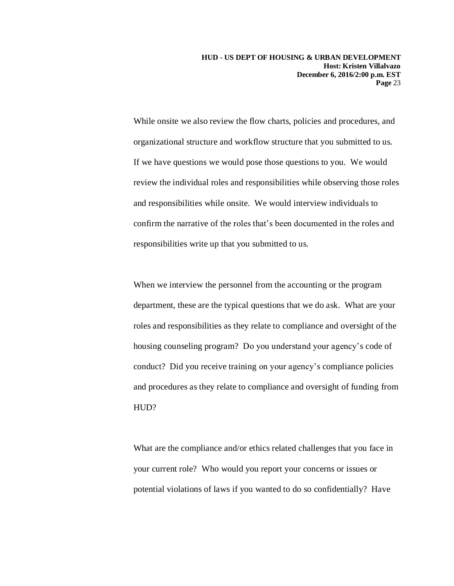**HUD - US DEPT OF HOUSING & URBAN DEVELOPMENT Host: Kristen Villalvazo December 6, 2016/2:00 p.m. EST Page** 23

While onsite we also review the flow charts, policies and procedures, and organizational structure and workflow structure that you submitted to us. If we have questions we would pose those questions to you. We would review the individual roles and responsibilities while observing those roles and responsibilities while onsite. We would interview individuals to confirm the narrative of the roles that's been documented in the roles and responsibilities write up that you submitted to us.

When we interview the personnel from the accounting or the program department, these are the typical questions that we do ask. What are your roles and responsibilities as they relate to compliance and oversight of the housing counseling program? Do you understand your agency's code of conduct? Did you receive training on your agency's compliance policies and procedures as they relate to compliance and oversight of funding from HUD?

What are the compliance and/or ethics related challenges that you face in your current role? Who would you report your concerns or issues or potential violations of laws if you wanted to do so confidentially? Have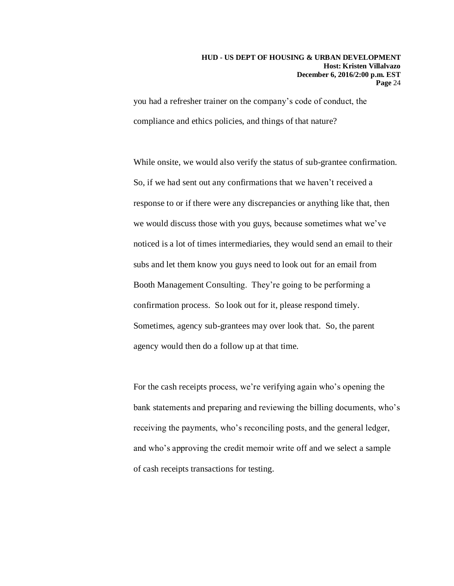you had a refresher trainer on the company's code of conduct, the compliance and ethics policies, and things of that nature?

While onsite, we would also verify the status of sub-grantee confirmation. So, if we had sent out any confirmations that we haven't received a response to or if there were any discrepancies or anything like that, then we would discuss those with you guys, because sometimes what we've noticed is a lot of times intermediaries, they would send an email to their subs and let them know you guys need to look out for an email from Booth Management Consulting. They're going to be performing a confirmation process. So look out for it, please respond timely. Sometimes, agency sub-grantees may over look that. So, the parent agency would then do a follow up at that time.

For the cash receipts process, we're verifying again who's opening the bank statements and preparing and reviewing the billing documents, who's receiving the payments, who's reconciling posts, and the general ledger, and who's approving the credit memoir write off and we select a sample of cash receipts transactions for testing.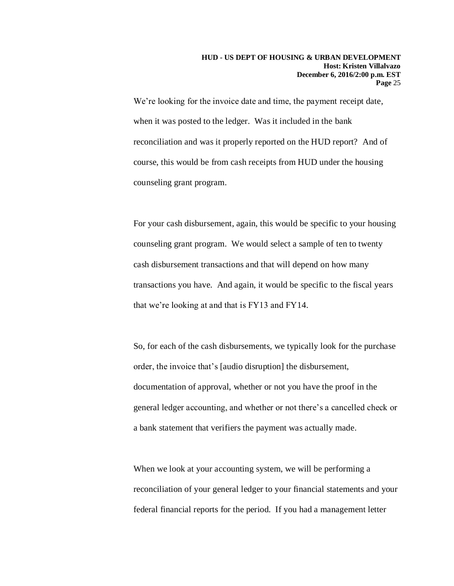We're looking for the invoice date and time, the payment receipt date, when it was posted to the ledger. Was it included in the bank reconciliation and was it properly reported on the HUD report? And of course, this would be from cash receipts from HUD under the housing counseling grant program.

For your cash disbursement, again, this would be specific to your housing counseling grant program. We would select a sample of ten to twenty cash disbursement transactions and that will depend on how many transactions you have. And again, it would be specific to the fiscal years that we're looking at and that is FY13 and FY14.

So, for each of the cash disbursements, we typically look for the purchase order, the invoice that's [audio disruption] the disbursement, documentation of approval, whether or not you have the proof in the general ledger accounting, and whether or not there's a cancelled check or a bank statement that verifiers the payment was actually made.

When we look at your accounting system, we will be performing a reconciliation of your general ledger to your financial statements and your federal financial reports for the period. If you had a management letter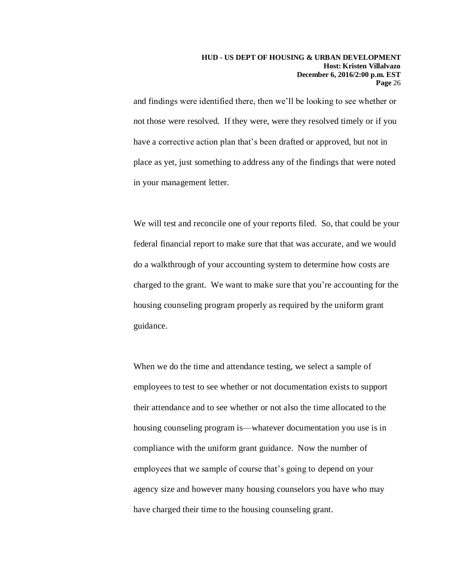and findings were identified there, then we'll be looking to see whether or not those were resolved. If they were, were they resolved timely or if you have a corrective action plan that's been drafted or approved, but not in place as yet, just something to address any of the findings that were noted in your management letter.

We will test and reconcile one of your reports filed. So, that could be your federal financial report to make sure that that was accurate, and we would do a walkthrough of your accounting system to determine how costs are charged to the grant. We want to make sure that you're accounting for the housing counseling program properly as required by the uniform grant guidance.

When we do the time and attendance testing, we select a sample of employees to test to see whether or not documentation exists to support their attendance and to see whether or not also the time allocated to the housing counseling program is—whatever documentation you use is in compliance with the uniform grant guidance. Now the number of employees that we sample of course that's going to depend on your agency size and however many housing counselors you have who may have charged their time to the housing counseling grant.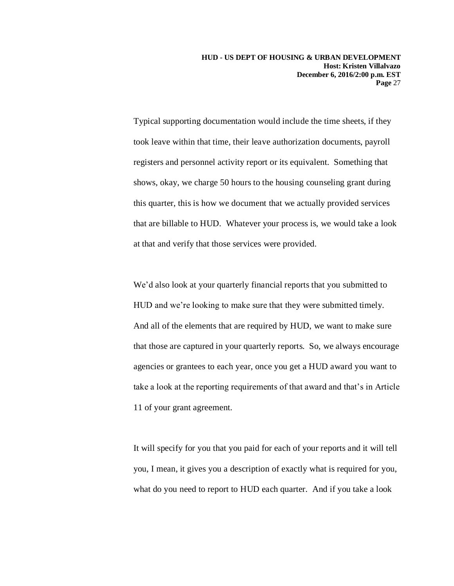Typical supporting documentation would include the time sheets, if they took leave within that time, their leave authorization documents, payroll registers and personnel activity report or its equivalent. Something that shows, okay, we charge 50 hours to the housing counseling grant during this quarter, this is how we document that we actually provided services that are billable to HUD. Whatever your process is, we would take a look at that and verify that those services were provided.

We'd also look at your quarterly financial reports that you submitted to HUD and we're looking to make sure that they were submitted timely. And all of the elements that are required by HUD, we want to make sure that those are captured in your quarterly reports. So, we always encourage agencies or grantees to each year, once you get a HUD award you want to take a look at the reporting requirements of that award and that's in Article 11 of your grant agreement.

It will specify for you that you paid for each of your reports and it will tell you, I mean, it gives you a description of exactly what is required for you, what do you need to report to HUD each quarter. And if you take a look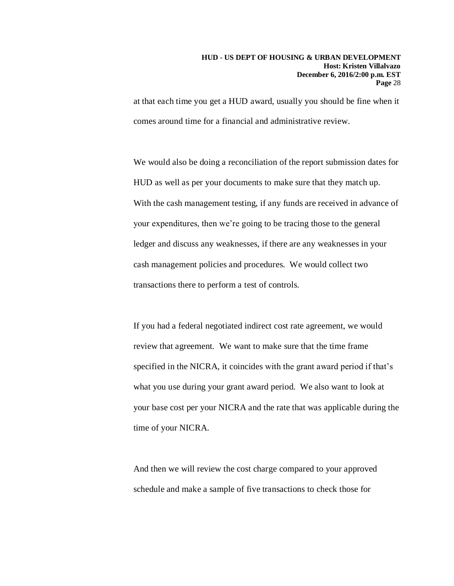at that each time you get a HUD award, usually you should be fine when it comes around time for a financial and administrative review.

We would also be doing a reconciliation of the report submission dates for HUD as well as per your documents to make sure that they match up. With the cash management testing, if any funds are received in advance of your expenditures, then we're going to be tracing those to the general ledger and discuss any weaknesses, if there are any weaknesses in your cash management policies and procedures. We would collect two transactions there to perform a test of controls.

If you had a federal negotiated indirect cost rate agreement, we would review that agreement. We want to make sure that the time frame specified in the NICRA, it coincides with the grant award period if that's what you use during your grant award period. We also want to look at your base cost per your NICRA and the rate that was applicable during the time of your NICRA.

And then we will review the cost charge compared to your approved schedule and make a sample of five transactions to check those for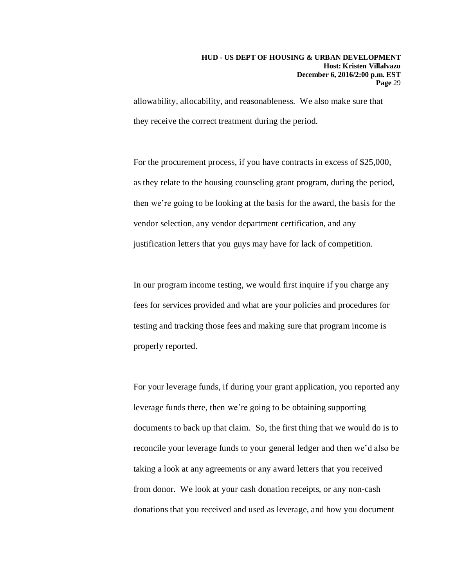allowability, allocability, and reasonableness. We also make sure that they receive the correct treatment during the period.

For the procurement process, if you have contracts in excess of \$25,000, as they relate to the housing counseling grant program, during the period, then we're going to be looking at the basis for the award, the basis for the vendor selection, any vendor department certification, and any justification letters that you guys may have for lack of competition.

In our program income testing, we would first inquire if you charge any fees for services provided and what are your policies and procedures for testing and tracking those fees and making sure that program income is properly reported.

For your leverage funds, if during your grant application, you reported any leverage funds there, then we're going to be obtaining supporting documents to back up that claim. So, the first thing that we would do is to reconcile your leverage funds to your general ledger and then we'd also be taking a look at any agreements or any award letters that you received from donor. We look at your cash donation receipts, or any non-cash donations that you received and used as leverage, and how you document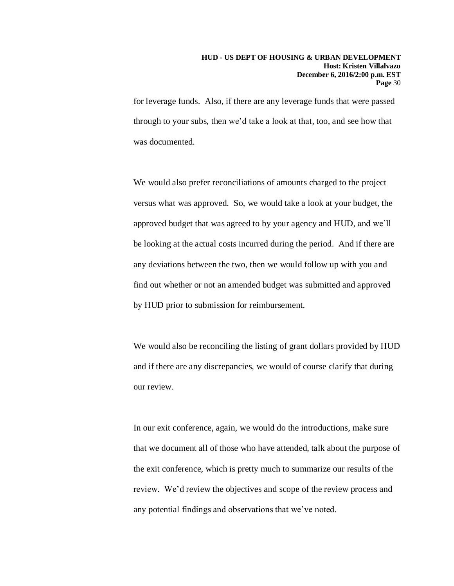for leverage funds. Also, if there are any leverage funds that were passed through to your subs, then we'd take a look at that, too, and see how that was documented.

We would also prefer reconciliations of amounts charged to the project versus what was approved. So, we would take a look at your budget, the approved budget that was agreed to by your agency and HUD, and we'll be looking at the actual costs incurred during the period. And if there are any deviations between the two, then we would follow up with you and find out whether or not an amended budget was submitted and approved by HUD prior to submission for reimbursement.

We would also be reconciling the listing of grant dollars provided by HUD and if there are any discrepancies, we would of course clarify that during our review.

In our exit conference, again, we would do the introductions, make sure that we document all of those who have attended, talk about the purpose of the exit conference, which is pretty much to summarize our results of the review. We'd review the objectives and scope of the review process and any potential findings and observations that we've noted.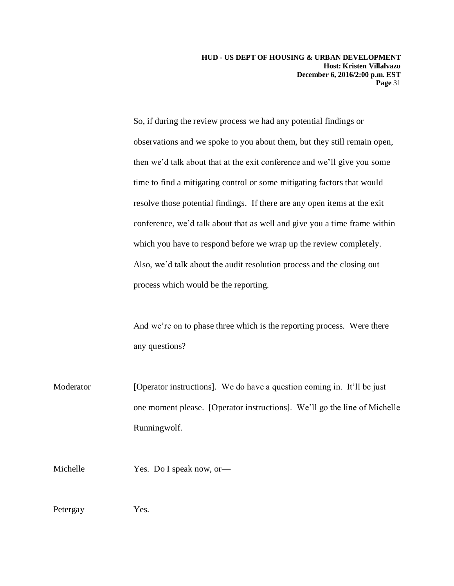**HUD - US DEPT OF HOUSING & URBAN DEVELOPMENT Host: Kristen Villalvazo December 6, 2016/2:00 p.m. EST Page** 31

So, if during the review process we had any potential findings or observations and we spoke to you about them, but they still remain open, then we'd talk about that at the exit conference and we'll give you some time to find a mitigating control or some mitigating factors that would resolve those potential findings. If there are any open items at the exit conference, we'd talk about that as well and give you a time frame within which you have to respond before we wrap up the review completely. Also, we'd talk about the audit resolution process and the closing out process which would be the reporting.

And we're on to phase three which is the reporting process. Were there any questions?

Moderator [Operator instructions]. We do have a question coming in. It'll be just one moment please. [Operator instructions]. We'll go the line of Michelle Runningwolf.

Michelle Yes. Do I speak now, or—

Petergay Yes.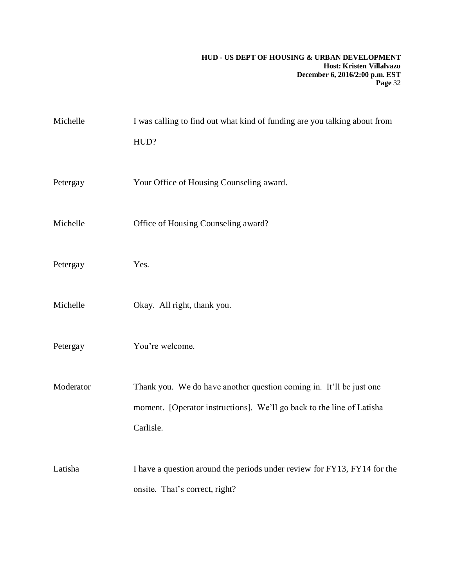### **HUD - US DEPT OF HOUSING & URBAN DEVELOPMENT Host: Kristen Villalvazo December 6, 2016/2:00 p.m. EST Page** 32

| Michelle  | I was calling to find out what kind of funding are you talking about from |
|-----------|---------------------------------------------------------------------------|
|           | HUD?                                                                      |
|           |                                                                           |
| Petergay  | Your Office of Housing Counseling award.                                  |
| Michelle  | Office of Housing Counseling award?                                       |
|           |                                                                           |
| Petergay  | Yes.                                                                      |
|           |                                                                           |
| Michelle  | Okay. All right, thank you.                                               |
| Petergay  | You're welcome.                                                           |
|           |                                                                           |
| Moderator | Thank you. We do have another question coming in. It'll be just one       |
|           | moment. [Operator instructions]. We'll go back to the line of Latisha     |
|           | Carlisle.                                                                 |
| Latisha   | I have a question around the periods under review for FY13, FY14 for the  |
|           | onsite. That's correct, right?                                            |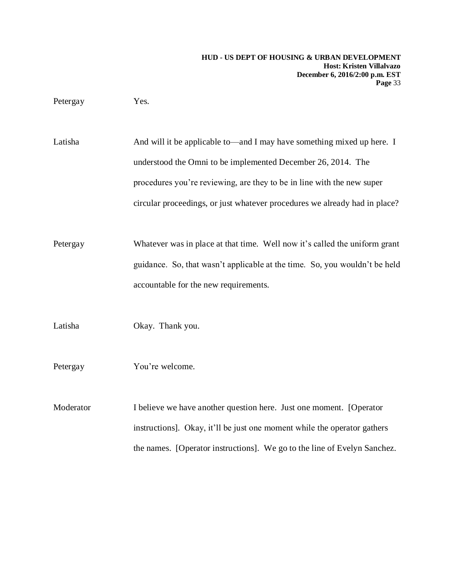Petergay Yes.

Latisha And will it be applicable to—and I may have something mixed up here. I understood the Omni to be implemented December 26, 2014. The procedures you're reviewing, are they to be in line with the new super circular proceedings, or just whatever procedures we already had in place?

Petergay Whatever was in place at that time. Well now it's called the uniform grant guidance. So, that wasn't applicable at the time. So, you wouldn't be held accountable for the new requirements.

Latisha Okay. Thank you.

Petergay You're welcome.

Moderator I believe we have another question here. Just one moment. [Operator instructions]. Okay, it'll be just one moment while the operator gathers the names. [Operator instructions]. We go to the line of Evelyn Sanchez.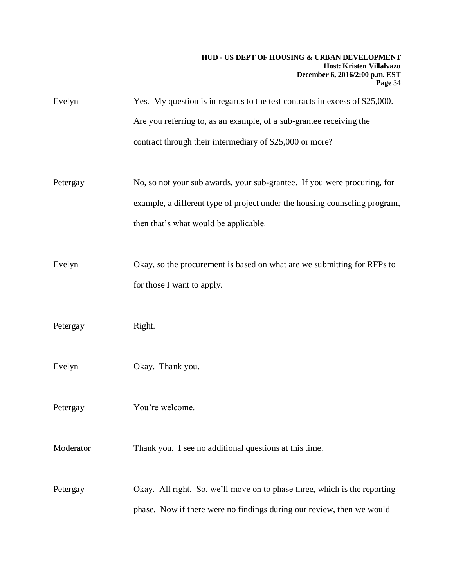### **HUD - US DEPT OF HOUSING & URBAN DEVELOPMENT Host: Kristen Villalvazo December 6, 2016/2:00 p.m. EST Page** 34

| Evelyn    | Yes. My question is in regards to the test contracts in excess of \$25,000.<br>Are you referring to, as an example, of a sub-grantee receiving the<br>contract through their intermediary of \$25,000 or more? |
|-----------|----------------------------------------------------------------------------------------------------------------------------------------------------------------------------------------------------------------|
| Petergay  | No, so not your sub awards, your sub-grantee. If you were procuring, for<br>example, a different type of project under the housing counseling program,<br>then that's what would be applicable.                |
| Evelyn    | Okay, so the procurement is based on what are we submitting for RFPs to<br>for those I want to apply.                                                                                                          |
| Petergay  | Right.                                                                                                                                                                                                         |
| Evelyn    | Okay. Thank you.                                                                                                                                                                                               |
| Petergay  | You're welcome.                                                                                                                                                                                                |
| Moderator | Thank you. I see no additional questions at this time.                                                                                                                                                         |
| Petergay  | Okay. All right. So, we'll move on to phase three, which is the reporting<br>phase. Now if there were no findings during our review, then we would                                                             |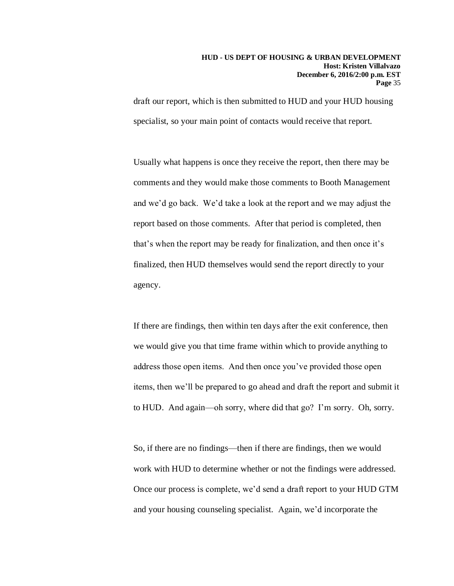draft our report, which is then submitted to HUD and your HUD housing specialist, so your main point of contacts would receive that report.

Usually what happens is once they receive the report, then there may be comments and they would make those comments to Booth Management and we'd go back. We'd take a look at the report and we may adjust the report based on those comments. After that period is completed, then that's when the report may be ready for finalization, and then once it's finalized, then HUD themselves would send the report directly to your agency.

If there are findings, then within ten days after the exit conference, then we would give you that time frame within which to provide anything to address those open items. And then once you've provided those open items, then we'll be prepared to go ahead and draft the report and submit it to HUD. And again—oh sorry, where did that go? I'm sorry. Oh, sorry.

So, if there are no findings—then if there are findings, then we would work with HUD to determine whether or not the findings were addressed. Once our process is complete, we'd send a draft report to your HUD GTM and your housing counseling specialist. Again, we'd incorporate the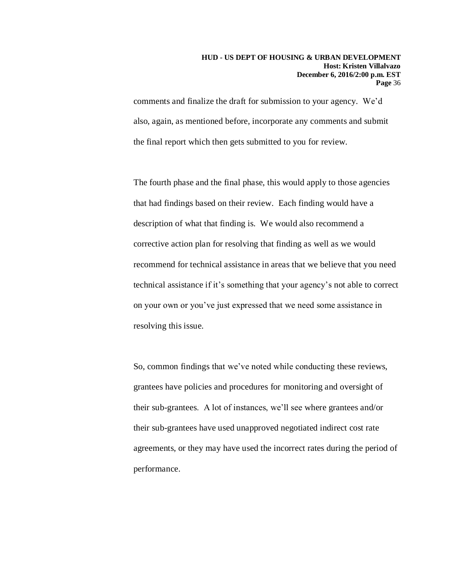comments and finalize the draft for submission to your agency. We'd also, again, as mentioned before, incorporate any comments and submit the final report which then gets submitted to you for review.

The fourth phase and the final phase, this would apply to those agencies that had findings based on their review. Each finding would have a description of what that finding is. We would also recommend a corrective action plan for resolving that finding as well as we would recommend for technical assistance in areas that we believe that you need technical assistance if it's something that your agency's not able to correct on your own or you've just expressed that we need some assistance in resolving this issue.

So, common findings that we've noted while conducting these reviews, grantees have policies and procedures for monitoring and oversight of their sub-grantees. A lot of instances, we'll see where grantees and/or their sub-grantees have used unapproved negotiated indirect cost rate agreements, or they may have used the incorrect rates during the period of performance.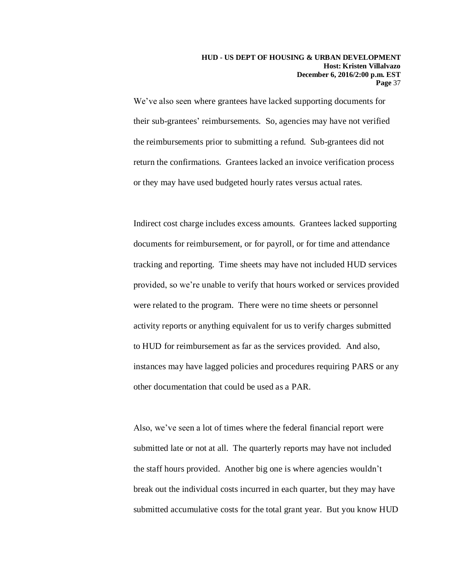We've also seen where grantees have lacked supporting documents for their sub-grantees' reimbursements. So, agencies may have not verified the reimbursements prior to submitting a refund. Sub-grantees did not return the confirmations. Grantees lacked an invoice verification process or they may have used budgeted hourly rates versus actual rates.

Indirect cost charge includes excess amounts. Grantees lacked supporting documents for reimbursement, or for payroll, or for time and attendance tracking and reporting. Time sheets may have not included HUD services provided, so we're unable to verify that hours worked or services provided were related to the program. There were no time sheets or personnel activity reports or anything equivalent for us to verify charges submitted to HUD for reimbursement as far as the services provided. And also, instances may have lagged policies and procedures requiring PARS or any other documentation that could be used as a PAR.

Also, we've seen a lot of times where the federal financial report were submitted late or not at all. The quarterly reports may have not included the staff hours provided. Another big one is where agencies wouldn't break out the individual costs incurred in each quarter, but they may have submitted accumulative costs for the total grant year. But you know HUD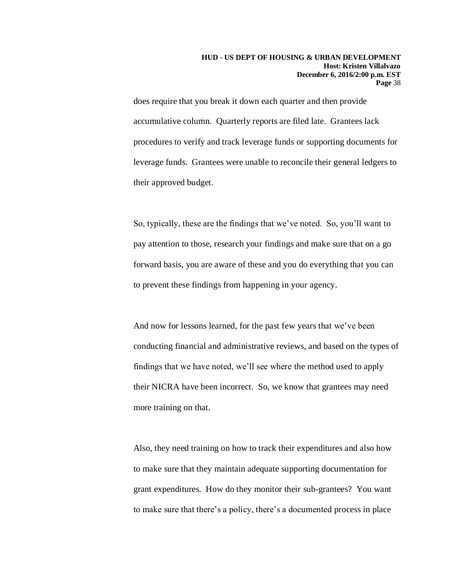does require that you break it down each quarter and then provide accumulative column. Quarterly reports are filed late. Grantees lack procedures to verify and track leverage funds or supporting documents for leverage funds. Grantees were unable to reconcile their general ledgers to their approved budget.

So, typically, these are the findings that we've noted. So, you'll want to pay attention to those, research your findings and make sure that on a go forward basis, you are aware of these and you do everything that you can to prevent these findings from happening in your agency.

And now for lessons learned, for the past few years that we've been conducting financial and administrative reviews, and based on the types of findings that we have noted, we'll see where the method used to apply their NICRA have been incorrect. So, we know that grantees may need more training on that.

Also, they need training on how to track their expenditures and also how to make sure that they maintain adequate supporting documentation for grant expenditures. How do they monitor their sub-grantees? You want to make sure that there's a policy, there's a documented process in place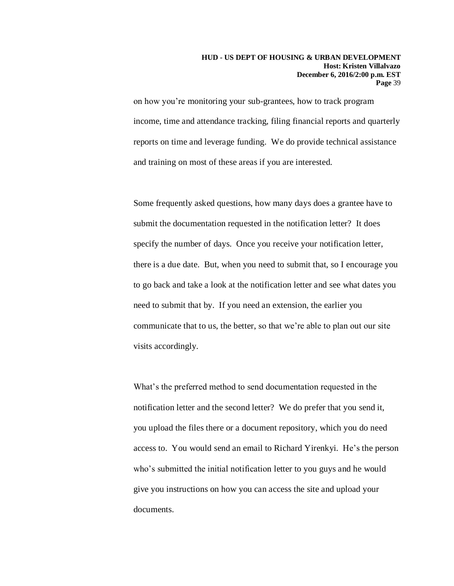on how you're monitoring your sub-grantees, how to track program income, time and attendance tracking, filing financial reports and quarterly reports on time and leverage funding. We do provide technical assistance and training on most of these areas if you are interested.

Some frequently asked questions, how many days does a grantee have to submit the documentation requested in the notification letter? It does specify the number of days. Once you receive your notification letter, there is a due date. But, when you need to submit that, so I encourage you to go back and take a look at the notification letter and see what dates you need to submit that by. If you need an extension, the earlier you communicate that to us, the better, so that we're able to plan out our site visits accordingly.

What's the preferred method to send documentation requested in the notification letter and the second letter? We do prefer that you send it, you upload the files there or a document repository, which you do need access to. You would send an email to Richard Yirenkyi. He's the person who's submitted the initial notification letter to you guys and he would give you instructions on how you can access the site and upload your documents.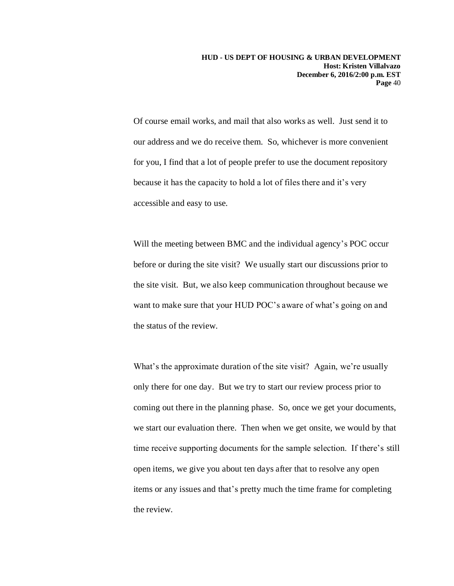Of course email works, and mail that also works as well. Just send it to our address and we do receive them. So, whichever is more convenient for you, I find that a lot of people prefer to use the document repository because it has the capacity to hold a lot of files there and it's very accessible and easy to use.

Will the meeting between BMC and the individual agency's POC occur before or during the site visit? We usually start our discussions prior to the site visit. But, we also keep communication throughout because we want to make sure that your HUD POC's aware of what's going on and the status of the review.

What's the approximate duration of the site visit? Again, we're usually only there for one day. But we try to start our review process prior to coming out there in the planning phase. So, once we get your documents, we start our evaluation there. Then when we get onsite, we would by that time receive supporting documents for the sample selection. If there's still open items, we give you about ten days after that to resolve any open items or any issues and that's pretty much the time frame for completing the review.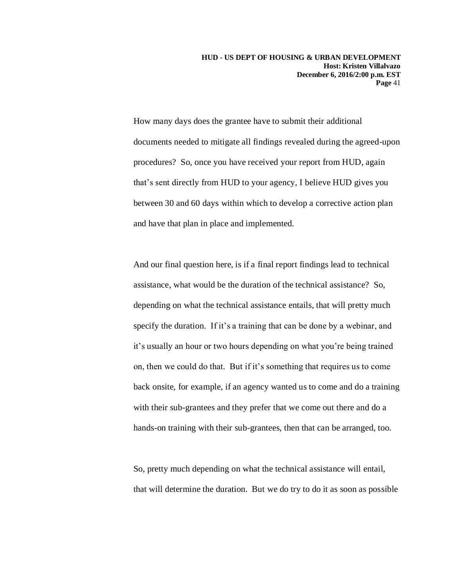How many days does the grantee have to submit their additional documents needed to mitigate all findings revealed during the agreed-upon procedures? So, once you have received your report from HUD, again that's sent directly from HUD to your agency, I believe HUD gives you between 30 and 60 days within which to develop a corrective action plan and have that plan in place and implemented.

And our final question here, is if a final report findings lead to technical assistance, what would be the duration of the technical assistance? So, depending on what the technical assistance entails, that will pretty much specify the duration. If it's a training that can be done by a webinar, and it's usually an hour or two hours depending on what you're being trained on, then we could do that. But if it's something that requires us to come back onsite, for example, if an agency wanted us to come and do a training with their sub-grantees and they prefer that we come out there and do a hands-on training with their sub-grantees, then that can be arranged, too.

So, pretty much depending on what the technical assistance will entail, that will determine the duration. But we do try to do it as soon as possible